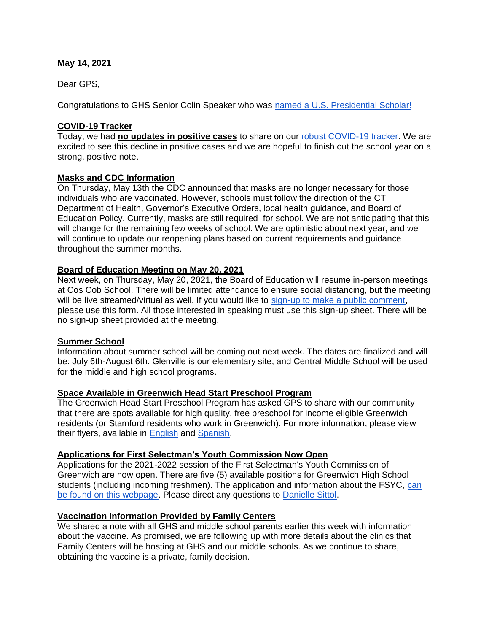## **May 14, 2021**

Dear GPS,

Congratulations to GHS Senior Colin Speaker who was [named a U.S. Presidential Scholar!](https://www.greenwichschools.org/departments/communications/news-social-media/story-details/~post/ghs-senior-named-us-presidential-scholar-20210514)

## **COVID-19 Tracker**

Today, we had **no updates in positive cases** to share on our [robust COVID-19 tracker.](https://www.greenwichschools.org/teaching-learning/student-support-services/health-services/covid-19) We are excited to see this decline in positive cases and we are hopeful to finish out the school year on a strong, positive note.

## **Masks and CDC Information**

On Thursday, May 13th the CDC announced that masks are no longer necessary for those individuals who are vaccinated. However, schools must follow the direction of the CT Department of Health, Governor's Executive Orders, local health guidance, and Board of Education Policy. Currently, masks are still required for school. We are not anticipating that this will change for the remaining few weeks of school. We are optimistic about next year, and we will continue to update our reopening plans based on current requirements and guidance throughout the summer months.

## **Board of Education Meeting on May 20, 2021**

Next week, on Thursday, May 20, 2021, the Board of Education will resume in-person meetings at Cos Cob School. There will be limited attendance to ensure social distancing, but the meeting will be live streamed/virtual as well. If you would like to [sign-up to make a public comment,](https://docs.google.com/forms/d/e/1FAIpQLSfdYIlIu8CilNxyKUFlI9y06sdPtNHMGFRyi8h5LxnpRksnKQ/viewform) please use this form. All those interested in speaking must use this sign-up sheet. There will be no sign-up sheet provided at the meeting.

#### **Summer School**

Information about summer school will be coming out next week. The dates are finalized and will be: July 6th-August 6th. Glenville is our elementary site, and Central Middle School will be used for the middle and high school programs.

#### **Space Available in Greenwich Head Start Preschool Program**

The Greenwich Head Start Preschool Program has asked GPS to share with our community that there are spots available for high quality, free preschool for income eligible Greenwich residents (or Stamford residents who work in Greenwich). For more information, please view their flyers, available in [English](https://resources.finalsite.net/images/v1621019448/greenwich/mltfacztztpbww3vhrzj/EnrollNowfor2021-2022SchoolYear1.pdf) and [Spanish.](https://resources.finalsite.net/images/v1621019476/greenwich/hgd1skrbza8fhryfygyg/Spanish_EnrollNowfor2021-2022SchoolYear1.pdf)

## **Applications for First Selectman's Youth Commission Now Open**

Applications for the 2021-2022 session of the First Selectman's Youth Commission of Greenwich are now open. There are five (5) available positions for Greenwich High School students (including incoming freshmen). The application and information about the FSYC, [can](https://www.greenwichct.gov/709/First-Selectmans-Youth-Commission)  [be found on this webpage.](https://www.greenwichct.gov/709/First-Selectmans-Youth-Commission) Please direct any questions to [Danielle Sittol.](mailto:Danielle.Sittol@greenwichct.org)

## **Vaccination Information Provided by Family Centers**

We shared a note with all GHS and middle school parents earlier this week with information about the vaccine. As promised, we are following up with more details about the clinics that Family Centers will be hosting at GHS and our middle schools. As we continue to share, obtaining the vaccine is a private, family decision.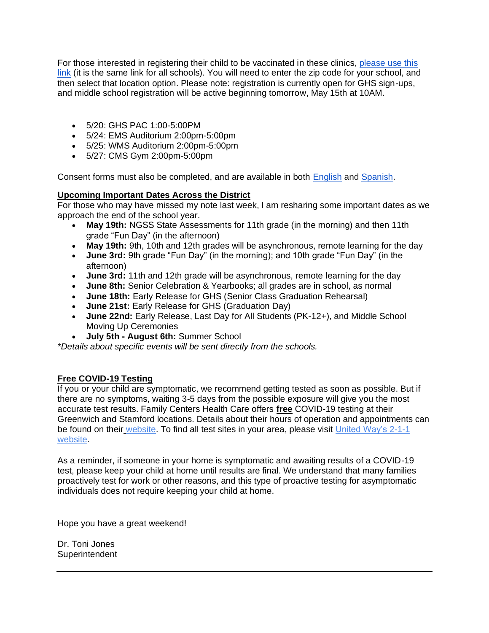For those interested in registering their child to be vaccinated in these clinics, [please use this](https://dphsubmissions.ct.gov/onlinevaccine)  [link](https://dphsubmissions.ct.gov/onlinevaccine) (it is the same link for all schools). You will need to enter the zip code for your school, and then select that location option. Please note: registration is currently open for GHS sign-ups, and middle school registration will be active beginning tomorrow, May 15th at 10AM.

- 5/20: GHS PAC 1:00-5:00PM
- 5/24: EMS Auditorium 2:00pm-5:00pm
- 5/25: WMS Auditorium 2:00pm-5:00pm
- 5/27: CMS Gym 2:00pm-5:00pm

Consent forms must also be completed, and are available in both [English](https://familycentersslsvg.formstack.com/forms/c19consent) and [Spanish.](https://familycentersslsvg.formstack.com/forms/c19consentspanish)

# **Upcoming Important Dates Across the District**

For those who may have missed my note last week, I am resharing some important dates as we approach the end of the school year.

- **May 19th:** NGSS State Assessments for 11th grade (in the morning) and then 11th grade "Fun Day" (in the afternoon)
- **May 19th:** 9th, 10th and 12th grades will be asynchronous, remote learning for the day
- **June 3rd:** 9th grade "Fun Day" (in the morning); and 10th grade "Fun Day" (in the afternoon)
- **June 3rd:** 11th and 12th grade will be asynchronous, remote learning for the day
- **June 8th:** Senior Celebration & Yearbooks; all grades are in school, as normal
- **June 18th:** Early Release for GHS (Senior Class Graduation Rehearsal)
- **June 21st:** Early Release for GHS (Graduation Day)
- **June 22nd:** Early Release, Last Day for All Students (PK-12+), and Middle School Moving Up Ceremonies
- **July 5th - August 6th:** Summer School

*\*Details about specific events will be sent directly from the schools.*

# **Free COVID-19 Testing**

If you or your child are symptomatic, we recommend getting tested as soon as possible. But if there are no symptoms, waiting 3-5 days from the possible exposure will give you the most accurate test results. Family Centers Health Care offers **free** COVID-19 testing at their Greenwich and Stamford locations. Details about their hours of operation and appointments can be found on their [website.](https://www.familycenters.org/FamilyCentersHealthCare) To find all test sites in your area, please visit United Way's 2-1-1 [website.](https://www.211ct.org/)

As a reminder, if someone in your home is symptomatic and awaiting results of a COVID-19 test, please keep your child at home until results are final. We understand that many families proactively test for work or other reasons, and this type of proactive testing for asymptomatic individuals does not require keeping your child at home.

Hope you have a great weekend!

Dr. Toni Jones **Superintendent**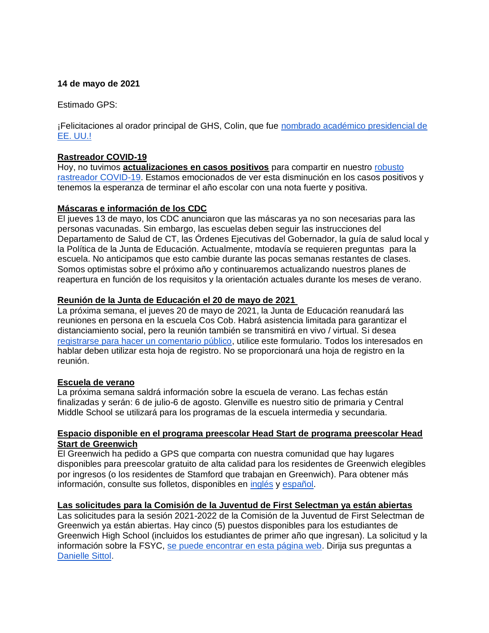### **14 de mayo de 2021**

Estimado GPS:

¡Felicitaciones al orador principal de GHS, Colin, que fue [nombrado académico presidencial de](https://www.greenwichschools.org/departments/communications/news-social-media/story-details/~post/ghs-senior-named-us-presidential-scholar-20210514)  [EE. UU.!](https://www.greenwichschools.org/departments/communications/news-social-media/story-details/~post/ghs-senior-named-us-presidential-scholar-20210514)

## **Rastreador COVID-19**

Hoy, no tuvimos **actualizaciones en casos positivos** para compartir en nuestro [robusto](https://www.greenwichschools.org/teaching-learning/student-support-services/health-services/covid-19)  [rastreador COVID-19.](https://www.greenwichschools.org/teaching-learning/student-support-services/health-services/covid-19) Estamos emocionados de ver esta disminución en los casos positivos y tenemos la esperanza de terminar el año escolar con una nota fuerte y positiva.

## **Máscaras e información de los CDC**

El jueves 13 de mayo, los CDC anunciaron que las máscaras ya no son necesarias para las personas vacunadas. Sin embargo, las escuelas deben seguir las instrucciones del Departamento de Salud de CT, las Órdenes Ejecutivas del Gobernador, la guía de salud local y la Política de la Junta de Educación. Actualmente, mtodavía se requieren preguntas para la escuela. No anticipamos que esto cambie durante las pocas semanas restantes de clases. Somos optimistas sobre el próximo año y continuaremos actualizando nuestros planes de reapertura en función de los requisitos y la orientación actuales durante los meses de verano.

## **Reunión de la Junta de Educación el 20 de mayo de 2021**

La próxima semana, el jueves 20 de mayo de 2021, la Junta de Educación reanudará las reuniones en persona en la escuela Cos Cob. Habrá asistencia limitada para garantizar el distanciamiento social, pero la reunión también se transmitirá en vivo / virtual. Si desea [registrarse para hacer un comentario público,](https://docs.google.com/forms/d/e/1FAIpQLSfdYIlIu8CilNxyKUFlI9y06sdPtNHMGFRyi8h5LxnpRksnKQ/viewform) utilice este formulario. Todos los interesados en hablar deben utilizar esta hoja de registro. No se proporcionará una hoja de registro en la reunión.

#### **Escuela de verano**

La próxima semana saldrá información sobre la escuela de verano. Las fechas están finalizadas y serán: 6 de julio-6 de agosto. Glenville es nuestro sitio de primaria y Central Middle School se utilizará para los programas de la escuela intermedia y secundaria.

#### **Espacio disponible en el programa preescolar Head Start de programa preescolar Head Start de Greenwich**

El Greenwich ha pedido a GPS que comparta con nuestra comunidad que hay lugares disponibles para preescolar gratuito de alta calidad para los residentes de Greenwich elegibles por ingresos (o los residentes de Stamford que trabajan en Greenwich). Para obtener más información, consulte sus folletos, disponibles en [inglés](https://resources.finalsite.net/images/v1621019448/greenwich/mltfacztztpbww3vhrzj/EnrollNowfor2021-2022SchoolYear1.pdf) y [español.](https://resources.finalsite.net/images/v1621019476/greenwich/hgd1skrbza8fhryfygyg/Spanish_EnrollNowfor2021-2022SchoolYear1.pdf)

#### **Las solicitudes para la Comisión de la Juventud de First Selectman ya están abiertas**

Las solicitudes para la sesión 2021-2022 de la Comisión de la Juventud de First Selectman de Greenwich ya están abiertas. Hay cinco (5) puestos disponibles para los estudiantes de Greenwich High School (incluidos los estudiantes de primer año que ingresan). La solicitud y la información sobre la FSYC, [se puede encontrar en esta página web.](https://www.greenwichct.gov/709/First-Selectmans-Youth-Commission) Dirija sus preguntas a [Danielle Sittol.](mailto:Danielle.Sittol@greenwichct.org)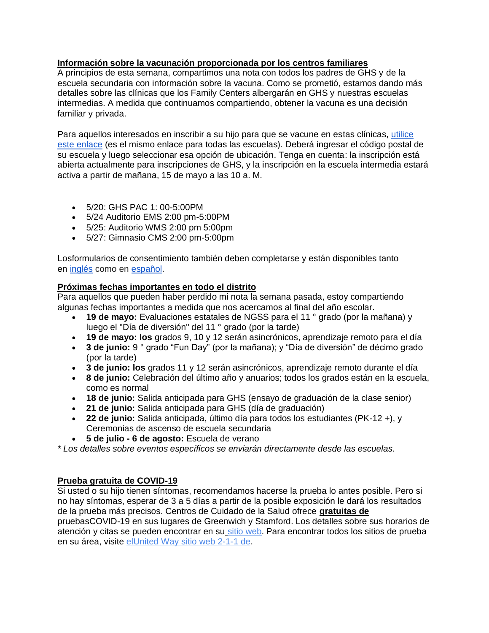# **Información sobre la vacunación proporcionada por los centros familiares**

A principios de esta semana, compartimos una nota con todos los padres de GHS y de la escuela secundaria con información sobre la vacuna. Como se prometió, estamos dando más detalles sobre las clínicas que los Family Centers albergarán en GHS y nuestras escuelas intermedias. A medida que continuamos compartiendo, obtener la vacuna es una decisión familiar y privada.

Para aquellos interesados en inscribir a su hijo para que se vacune en estas clínicas, [utilice](https://dphsubmissions.ct.gov/onlinevaccine)  [este enlace](https://dphsubmissions.ct.gov/onlinevaccine) (es el mismo enlace para todas las escuelas). Deberá ingresar el código postal de su escuela y luego seleccionar esa opción de ubicación. Tenga en cuenta: la inscripción está abierta actualmente para inscripciones de GHS, y la inscripción en la escuela intermedia estará activa a partir de mañana, 15 de mayo a las 10 a. M.

- 5/20: GHS PAC 1: 00-5:00PM
- 5/24 Auditorio EMS 2:00 pm-5:00PM
- 5/25: Auditorio WMS 2:00 pm 5:00pm
- 5/27: Gimnasio CMS 2:00 pm-5:00pm

Losformularios de consentimiento también deben completarse y están disponibles tanto en [inglés](https://familycentersslsvg.formstack.com/forms/c19consent) como en [español.](https://familycentersslsvg.formstack.com/forms/c19consentspanish)

## **Próximas fechas importantes en todo el distrito**

Para aquellos que pueden haber perdido mi nota la semana pasada, estoy compartiendo algunas fechas importantes a medida que nos acercamos al final del año escolar.

- **19 de mayo:** Evaluaciones estatales de NGSS para el 11<sup>°</sup> grado (por la mañana) y luego el "Día de diversión" del 11 ° grado (por la tarde)
- **19 de mayo: los** grados 9, 10 y 12 serán asincrónicos, aprendizaje remoto para el día
- **3 de junio:** 9 ° grado "Fun Day" (por la mañana); y "Día de diversión" de décimo grado (por la tarde)
- **3 de junio: los** grados 11 y 12 serán asincrónicos, aprendizaje remoto durante el día
- **8 de junio:** Celebración del último año y anuarios; todos los grados están en la escuela, como es normal
- **18 de junio:** Salida anticipada para GHS (ensayo de graduación de la clase senior)
- **21 de junio:** Salida anticipada para GHS (día de graduación)
- **22 de junio:** Salida anticipada, último día para todos los estudiantes (PK-12 +), y Ceremonias de ascenso de escuela secundaria
- **5 de julio - 6 de agosto:** Escuela de verano

*\* Los detalles sobre eventos específicos se enviarán directamente desde las escuelas.*

# **Prueba gratuita de COVID-19**

Si usted o su hijo tienen síntomas, recomendamos hacerse la prueba lo antes posible. Pero si no hay síntomas, esperar de 3 a 5 días a partir de la posible exposición le dará los resultados de la prueba más precisos. Centros de Cuidado de la Salud ofrece **gratuitas de** pruebasCOVID-19 en sus lugares de Greenwich y Stamford. Los detalles sobre sus horarios de atención y citas se pueden encontrar en su [sitio web.](https://www.familycenters.org/FamilyCentersHealthCare) Para encontrar todos los sitios de prueba en su área, visite elUnited Way [sitio web 2-1-1 de.](https://www.211ct.org/)